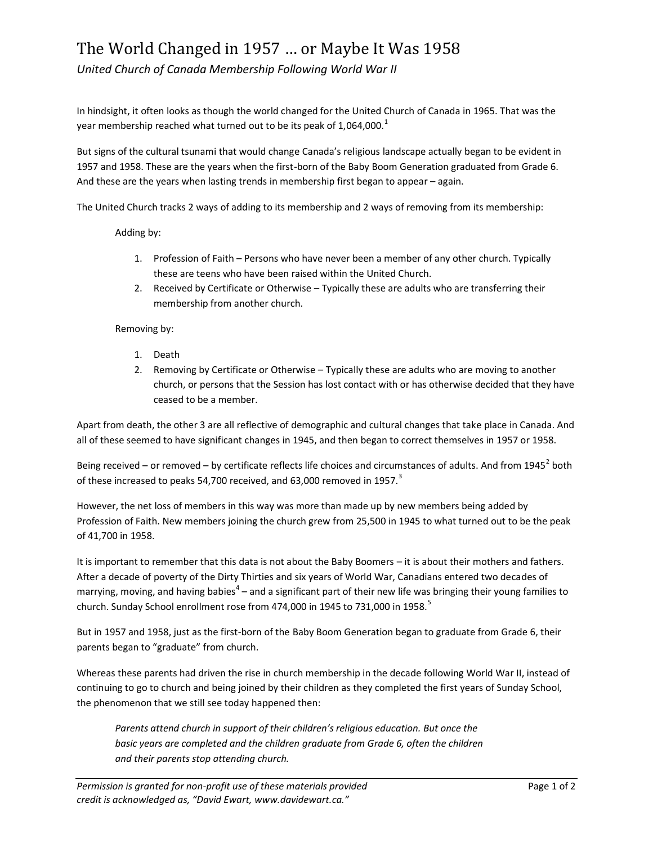## The World Changed in 1957 … or Maybe It Was 1958

*United Church of Canada Membership Following World War II*

In hindsight, it often looks as though the world changed for the United Church of Canada in 1965. That was the year membership reached what turned out to be its peak of 1,064,000. $^{\text{1}}$ 

But signs of the cultural tsunami that would change Canada's religious landscape actually began to be evident in 1957 and 1958. These are the years when the first-born of the Baby Boom Generation graduated from Grade 6. And these are the years when lasting trends in membership first began to appear – again.

The United Church tracks 2 ways of adding to its membership and 2 ways of removing from its membership:

Adding by:

- 1. Profession of Faith Persons who have never been a member of any other church. Typically these are teens who have been raised within the United Church.
- 2. Received by Certificate or Otherwise Typically these are adults who are transferring their membership from another church.

Removing by:

- 1. Death
- 2. Removing by Certificate or Otherwise Typically these are adults who are moving to another church, or persons that the Session has lost contact with or has otherwise decided that they have ceased to be a member.

Apart from death, the other 3 are all reflective of demographic and cultural changes that take place in Canada. And all of these seemed to have significant changes in 1945, and then began to correct themselves in 1957 or 1958.

Being received – or removed – by certificate reflects life choices and circumstances of adults. And from 1945<sup>2</sup> both of these increased to peaks 54,700 received, and 63,000 removed in 1957.<sup>3</sup>

However, the net loss of members in this way was more than made up by new members being added by Profession of Faith. New members joining the church grew from 25,500 in 1945 to what turned out to be the peak of 41,700 in 1958.

It is important to remember that this data is not about the Baby Boomers – it is about their mothers and fathers. After a decade of poverty of the Dirty Thirties and six years of World War, Canadians entered two decades of marrying, moving, and having babies<sup>4</sup> – and a significant part of their new life was bringing their young families to church. Sunday School enrollment rose from 474,000 in 1945 to 731,000 in 1958.<sup>5</sup>

But in 1957 and 1958, just as the first-born of the Baby Boom Generation began to graduate from Grade 6, their parents began to "graduate" from church.

Whereas these parents had driven the rise in church membership in the decade following World War II, instead of continuing to go to church and being joined by their children as they completed the first years of Sunday School, the phenomenon that we still see today happened then:

*Parents attend church in support of their children's religious education. But once the*  basic years are completed and the children graduate from Grade 6, often the children *and their parents stop attending church.*